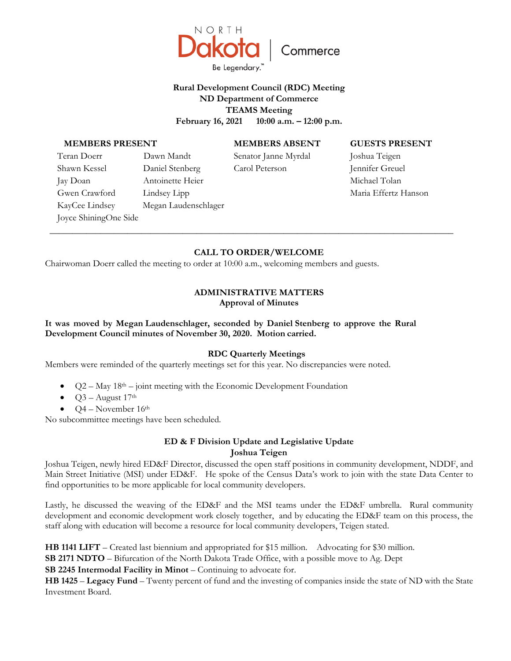

# **Rural Development Council (RDC) Meeting ND Department of Commerce TEAMS Meeting February 16, 2021 10:00 a.m. – 12:00 p.m.**

#### **MEMBERS PRESENT**

Joyce ShiningOne Side

Teran Doerr Dawn Mandt Shawn Kessel Daniel Stenberg Jay Doan Antoinette Heier Gwen Crawford Lindsey Lipp

KayCee Lindsey Megan Laudenschlager

# **MEMBERS ABSENT**

Senator Janne Myrdal Carol Peterson

#### **GUESTS PRESENT**

Joshua Teigen Jennifer Greuel Michael Tolan Maria Effertz Hanson

# **CALL TO ORDER/WELCOME**

**\_\_\_\_\_\_\_\_\_\_\_\_\_\_\_\_\_\_\_\_\_\_\_\_\_\_\_\_\_\_\_\_\_\_\_\_\_\_\_\_\_\_\_\_\_\_\_\_\_\_\_\_\_\_\_\_\_\_\_\_\_\_\_\_\_\_\_\_\_\_\_\_\_\_\_\_\_\_\_\_\_\_\_\_\_\_\_\_** 

Chairwoman Doerr called the meeting to order at 10:00 a.m., welcoming members and guests.

### **ADMINISTRATIVE MATTERS Approval of Minutes**

### **It was moved by Megan Laudenschlager, seconded by Daniel Stenberg to approve the Rural Development Council minutes of November 30, 2020. Motion carried.**

#### **RDC Quarterly Meetings**

Members were reminded of the quarterly meetings set for this year. No discrepancies were noted.

- $Q2 May 18<sup>th</sup> joint meeting with the Economic Development Foundation$
- Q3 August 17th
- Q4 November 16th

No subcommittee meetings have been scheduled.

## **ED & F Division Update and Legislative Update Joshua Teigen**

Joshua Teigen, newly hired ED&F Director, discussed the open staff positions in community development, NDDF, and Main Street Initiative (MSI) under ED&F. He spoke of the Census Data's work to join with the state Data Center to find opportunities to be more applicable for local community developers.

Lastly, he discussed the weaving of the ED&F and the MSI teams under the ED&F umbrella. Rural community development and economic development work closely together, and by educating the ED&F team on this process, the staff along with education will become a resource for local community developers, Teigen stated.

**HB 1141 LIFT** – Created last biennium and appropriated for \$15 million. Advocating for \$30 million.

**SB 2171 NDTO** – Bifurcation of the North Dakota Trade Office, with a possible move to Ag. Dept

**SB 2245 Intermodal Facility in Minot** – Continuing to advocate for.

**HB 1425** – **Legacy Fund** – Twenty percent of fund and the investing of companies inside the state of ND with the State Investment Board.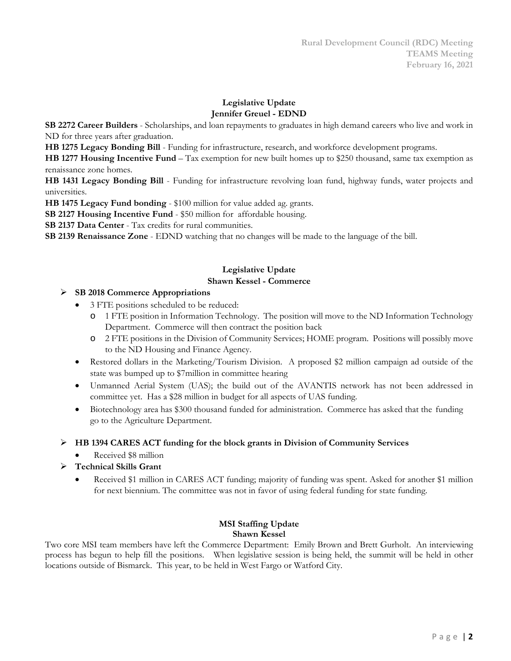## **Legislative Update Jennifer Greuel - EDND**

**SB 2272 Career Builders** - Scholarships, and loan repayments to graduates in high demand careers who live and work in ND for three years after graduation.

**HB 1275 Legacy Bonding Bill** - Funding for infrastructure, research, and workforce development programs.

**HB 1277 Housing Incentive Fund** – Tax exemption for new built homes up to \$250 thousand, same tax exemption as renaissance zone homes.

**HB 1431 Legacy Bonding Bill** - Funding for infrastructure revolving loan fund, highway funds, water projects and universities.

**HB 1475 Legacy Fund bonding** - \$100 million for value added ag. grants.

**SB 2127 Housing Incentive Fund** - \$50 million for affordable housing.

**SB 2137 Data Center** - Tax credits for rural communities.

**SB 2139 Renaissance Zone** - EDND watching that no changes will be made to the language of the bill.

### **Legislative Update Shawn Kessel - Commerce**

## **SB 2018 Commerce Appropriations**

- 3 FTE positions scheduled to be reduced:
	- 1 FTE position in Information Technology. The position will move to the ND Information Technology Department. Commerce will then contract the position back
	- o 2 FTE positions in the Division of Community Services; HOME program. Positions will possibly move to the ND Housing and Finance Agency.
- Restored dollars in the Marketing/Tourism Division. A proposed \$2 million campaign ad outside of the state was bumped up to \$7million in committee hearing
- Unmanned Aerial System (UAS); the build out of the AVANTIS network has not been addressed in committee yet. Has a \$28 million in budget for all aspects of UAS funding.
- Biotechnology area has \$300 thousand funded for administration. Commerce has asked that the funding go to the Agriculture Department.

## **HB 1394 CARES ACT funding for the block grants in Division of Community Services**

- Received \$8 million
- **Technical Skills Grant**
	- Received \$1 million in CARES ACT funding; majority of funding was spent. Asked for another \$1 million for next biennium. The committee was not in favor of using federal funding for state funding.

#### **MSI Staffing Update Shawn Kessel**

Two core MSI team members have left the Commerce Department: Emily Brown and Brett Gurholt. An interviewing process has begun to help fill the positions. When legislative session is being held, the summit will be held in other locations outside of Bismarck. This year, to be held in West Fargo or Watford City.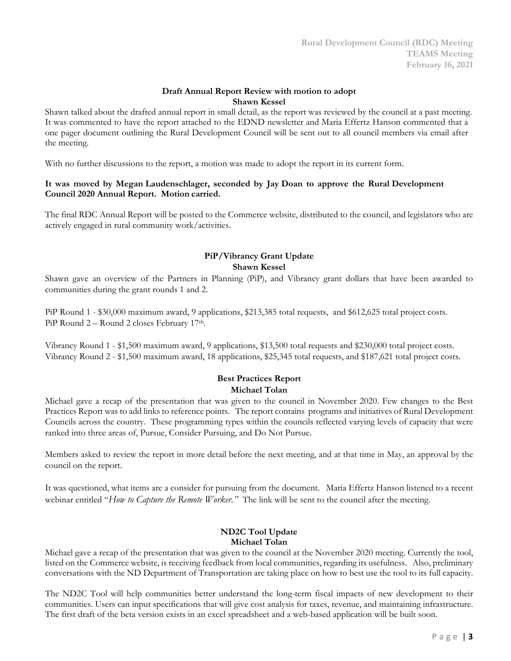### **Draft Annual Report Review with motion to adopt Shawn Kessel**

Shawn talked about the drafted annual report in small detail, as the report was reviewed by the council at a past meeting. It was commented to have the report attached to the EDND newsletter and Maria Effertz Hanson commented that a one pager document outlining the Rural Development Council will be sent out to all council members via email after the meeting.

With no further discussions to the report, a motion was made to adopt the report in its current form.

## **It was moved by Megan Laudenschlager, seconded by Jay Doan to approve the Rural Development Council 2020 Annual Report. Motion carried.**

The final RDC Annual Report will be posted to the Commerce website, distributed to the council, and legislators who are actively engaged in rural community work/activities.

# **PiP/Vibrancy Grant Update Shawn Kessel**

Shawn gave an overview of the Partners in Planning (PiP), and Vibrancy grant dollars that have been awarded to communities during the grant rounds 1 and 2.

PiP Round 1 - \$30,000 maximum award, 9 applications, \$213,385 total requests, and \$612,625 total project costs. PiP Round 2 – Round 2 closes February 17th.

Vibrancy Round 1 - \$1,500 maximum award, 9 applications, \$13,500 total requests and \$230,000 total project costs. Vibrancy Round 2 - \$1,500 maximum award, 18 applications, \$25,345 total requests, and \$187,621 total project costs.

## **Best Practices Report Michael Tolan**

Michael gave a recap of the presentation that was given to the council in November 2020. Few changes to the Best Practices Report was to add links to reference points. The report contains programs and initiatives of Rural Development Councils across the country. These programming types within the councils reflected varying levels of capacity that were ranked into three areas of, Pursue, Consider Pursuing, and Do Not Pursue.

Members asked to review the report in more detail before the next meeting, and at that time in May, an approval by the council on the report.

It was questioned, what items are a consider for pursuing from the document. Maria Effertz Hanson listened to a recent webinar entitled "*How to Capture the Remote Worker."* The link will be sent to the council after the meeting.

## **ND2C Tool Update Michael Tolan**

Michael gave a recap of the presentation that was given to the council at the November 2020 meeting. Currently the tool, listed on the Commerce website, is receiving feedback from local communities, regarding its usefulness. Also, preliminary conversations with the ND Department of Transportation are taking place on how to best use the tool to its full capacity.

The ND2C Tool will help communities better understand the long-term fiscal impacts of new development to their communities. Users can input specifications that will give cost analysis for taxes, revenue, and maintaining infrastructure. The first draft of the beta version exists in an excel spreadsheet and a web-based application will be built soon.